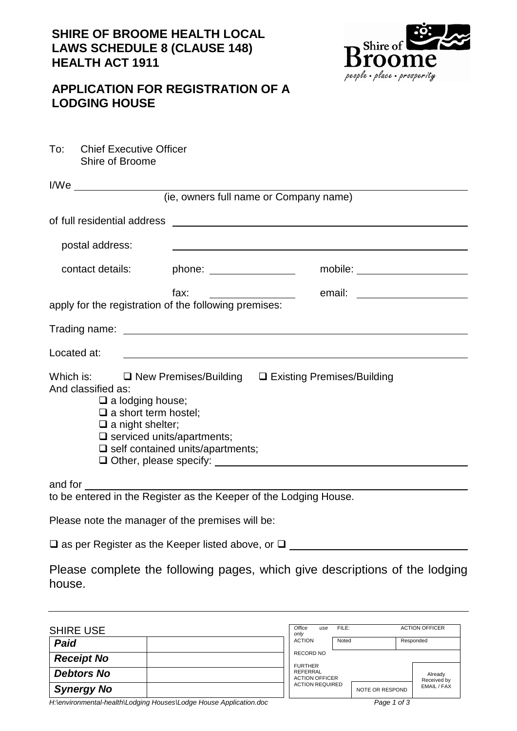## **SHIRE OF BROOME HEALTH LOCAL LAWS SCHEDULE 8 (CLAUSE 148) HEALTH ACT 1911**



## **APPLICATION FOR REGISTRATION OF A LODGING HOUSE**

| To: | <b>Chief Executive Officer</b> |
|-----|--------------------------------|
|     | Shire of Broome                |

| l/We                                                                                                                                                                                                                           |                                                                                   |                                                                                                                                                                |  |                                |
|--------------------------------------------------------------------------------------------------------------------------------------------------------------------------------------------------------------------------------|-----------------------------------------------------------------------------------|----------------------------------------------------------------------------------------------------------------------------------------------------------------|--|--------------------------------|
|                                                                                                                                                                                                                                |                                                                                   | (ie, owners full name or Company name)                                                                                                                         |  |                                |
|                                                                                                                                                                                                                                |                                                                                   |                                                                                                                                                                |  |                                |
| postal address:                                                                                                                                                                                                                |                                                                                   |                                                                                                                                                                |  |                                |
| contact details:                                                                                                                                                                                                               |                                                                                   | phone: _________________                                                                                                                                       |  | mobile: ______________________ |
|                                                                                                                                                                                                                                |                                                                                   | fax:<br>apply for the registration of the following premises:                                                                                                  |  | email: ______________________  |
|                                                                                                                                                                                                                                |                                                                                   |                                                                                                                                                                |  |                                |
| Located at:                                                                                                                                                                                                                    |                                                                                   |                                                                                                                                                                |  |                                |
| And classified as:                                                                                                                                                                                                             | $\Box$ a lodging house;<br>$\Box$ a short term hostel;<br>$\Box$ a night shelter; | Which is: $\Box$ New Premises/Building $\Box$ Existing Premises/Building<br>$\square$ serviced units/apartments;<br>$\square$ self contained units/apartments; |  |                                |
| and for the same of the same of the same of the same of the same of the same of the same of the same of the same of the same of the same of the same of the same of the same of the same of the same of the same of the same o |                                                                                   | to be entered in the Register as the Keeper of the Lodging House.                                                                                              |  |                                |
|                                                                                                                                                                                                                                |                                                                                   |                                                                                                                                                                |  |                                |

Please note the manager of the premises will be:

 $\square$  as per Register as the Keeper listed above, or  $\square$ 

|        |  |  |  | Please complete the following pages, which give descriptions of the lodging |  |
|--------|--|--|--|-----------------------------------------------------------------------------|--|
| house. |  |  |  |                                                                             |  |

| <b>SHIRE USE</b>                                                     | Office<br>only                                      | use              | FILE: |                 | <b>ACTION OFFICER</b>  |
|----------------------------------------------------------------------|-----------------------------------------------------|------------------|-------|-----------------|------------------------|
| Paid                                                                 | <b>ACTION</b>                                       |                  | Noted |                 | Responded              |
| <b>Receipt No</b>                                                    |                                                     | <b>RECORD NO</b> |       |                 |                        |
| <b>Debtors No</b>                                                    | <b>FURTHER</b><br>REFERRAL<br><b>ACTION OFFICER</b> |                  |       |                 | Already<br>Received by |
| <b>Synergy No</b>                                                    | <b>ACTION REQUIRED</b>                              |                  |       | NOTE OR RESPOND | EMAIL / FAX            |
| H Jenvironmental-health V odging Houses V odge House Application doc |                                                     |                  |       | Page 1 of 3     |                        |

*H:\environmental-health\Lodging Houses\Lodge House Application.doc Page 1 of 3*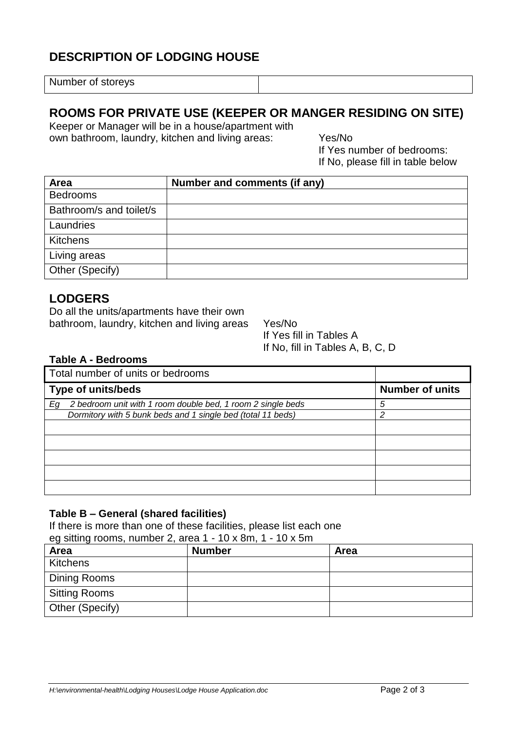# **DESCRIPTION OF LODGING HOUSE**

Number of storeys

## **ROOMS FOR PRIVATE USE (KEEPER OR MANGER RESIDING ON SITE)**

Keeper or Manager will be in a house/apartment with own bathroom, laundry, kitchen and living areas: Yes/No

If Yes number of bedrooms: If No, please fill in table below

| Area                    | Number and comments (if any) |
|-------------------------|------------------------------|
| <b>Bedrooms</b>         |                              |
| Bathroom/s and toilet/s |                              |
| Laundries               |                              |
| Kitchens                |                              |
| Living areas            |                              |
| Other (Specify)         |                              |

## **LODGERS**

Do all the units/apartments have their own bathroom, laundry, kitchen and living areas Yes/No

If Yes fill in Tables A If No, fill in Tables A, B, C, D

#### **Table A - Bedrooms**

| Total number of units or bedrooms                                 |                        |
|-------------------------------------------------------------------|------------------------|
| <b>Type of units/beds</b>                                         | <b>Number of units</b> |
| 2 bedroom unit with 1 room double bed, 1 room 2 single beds<br>Eg | 5                      |
| Dormitory with 5 bunk beds and 1 single bed (total 11 beds)       | っ                      |
|                                                                   |                        |
|                                                                   |                        |
|                                                                   |                        |
|                                                                   |                        |
|                                                                   |                        |

#### **Table B – General (shared facilities)**

If there is more than one of these facilities, please list each one eg sitting rooms, number 2, area 1 - 10 x 8m, 1 - 10 x 5m

| $\sigma$ of situally rooms, from political exacts in the $\sigma$ of $\sigma$ |               |             |  |  |  |
|-------------------------------------------------------------------------------|---------------|-------------|--|--|--|
| Area                                                                          | <b>Number</b> | <b>Area</b> |  |  |  |
| Kitchens                                                                      |               |             |  |  |  |
| Dining Rooms                                                                  |               |             |  |  |  |
| <b>Sitting Rooms</b>                                                          |               |             |  |  |  |
| Other (Specify)                                                               |               |             |  |  |  |